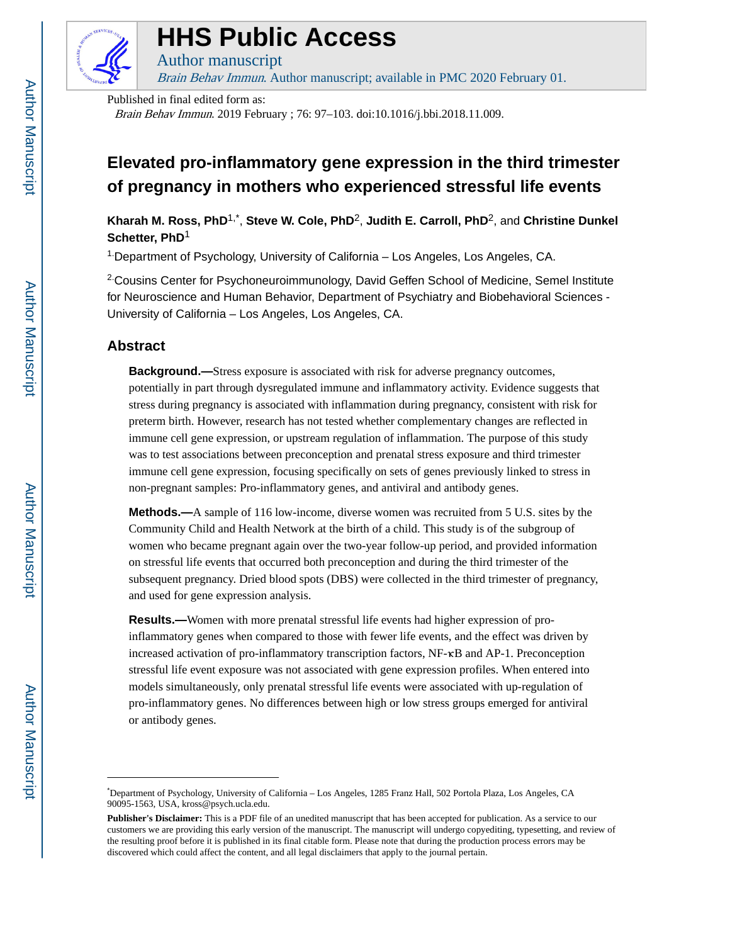

# **HHS Public Access**

Brain Behav Immun. Author manuscript; available in PMC 2020 February 01.

Published in final edited form as:

Author manuscript

Brain Behav Immun. 2019 February ; 76: 97–103. doi:10.1016/j.bbi.2018.11.009.

# **Elevated pro-inflammatory gene expression in the third trimester of pregnancy in mothers who experienced stressful life events**

**Kharah M. Ross, PhD**1,\* , **Steve W. Cole, PhD**2, **Judith E. Carroll, PhD**2, and **Christine Dunkel Schetter, PhD**<sup>1</sup>

1.Department of Psychology, University of California – Los Angeles, Los Angeles, CA.

2.Cousins Center for Psychoneuroimmunology, David Geffen School of Medicine, Semel Institute for Neuroscience and Human Behavior, Department of Psychiatry and Biobehavioral Sciences - University of California – Los Angeles, Los Angeles, CA.

# **Abstract**

**Background.—**Stress exposure is associated with risk for adverse pregnancy outcomes, potentially in part through dysregulated immune and inflammatory activity. Evidence suggests that stress during pregnancy is associated with inflammation during pregnancy, consistent with risk for preterm birth. However, research has not tested whether complementary changes are reflected in immune cell gene expression, or upstream regulation of inflammation. The purpose of this study was to test associations between preconception and prenatal stress exposure and third trimester immune cell gene expression, focusing specifically on sets of genes previously linked to stress in non-pregnant samples: Pro-inflammatory genes, and antiviral and antibody genes.

**Methods.—**A sample of 116 low-income, diverse women was recruited from 5 U.S. sites by the Community Child and Health Network at the birth of a child. This study is of the subgroup of women who became pregnant again over the two-year follow-up period, and provided information on stressful life events that occurred both preconception and during the third trimester of the subsequent pregnancy. Dried blood spots (DBS) were collected in the third trimester of pregnancy, and used for gene expression analysis.

**Results.—**Women with more prenatal stressful life events had higher expression of proinflammatory genes when compared to those with fewer life events, and the effect was driven by increased activation of pro-inflammatory transcription factors, NF-κB and AP-1. Preconception stressful life event exposure was not associated with gene expression profiles. When entered into models simultaneously, only prenatal stressful life events were associated with up-regulation of pro-inflammatory genes. No differences between high or low stress groups emerged for antiviral or antibody genes.

<sup>\*</sup>Department of Psychology, University of California – Los Angeles, 1285 Franz Hall, 502 Portola Plaza, Los Angeles, CA 90095-1563, USA, kross@psych.ucla.edu.

**Publisher's Disclaimer:** This is a PDF file of an unedited manuscript that has been accepted for publication. As a service to our customers we are providing this early version of the manuscript. The manuscript will undergo copyediting, typesetting, and review of the resulting proof before it is published in its final citable form. Please note that during the production process errors may be discovered which could affect the content, and all legal disclaimers that apply to the journal pertain.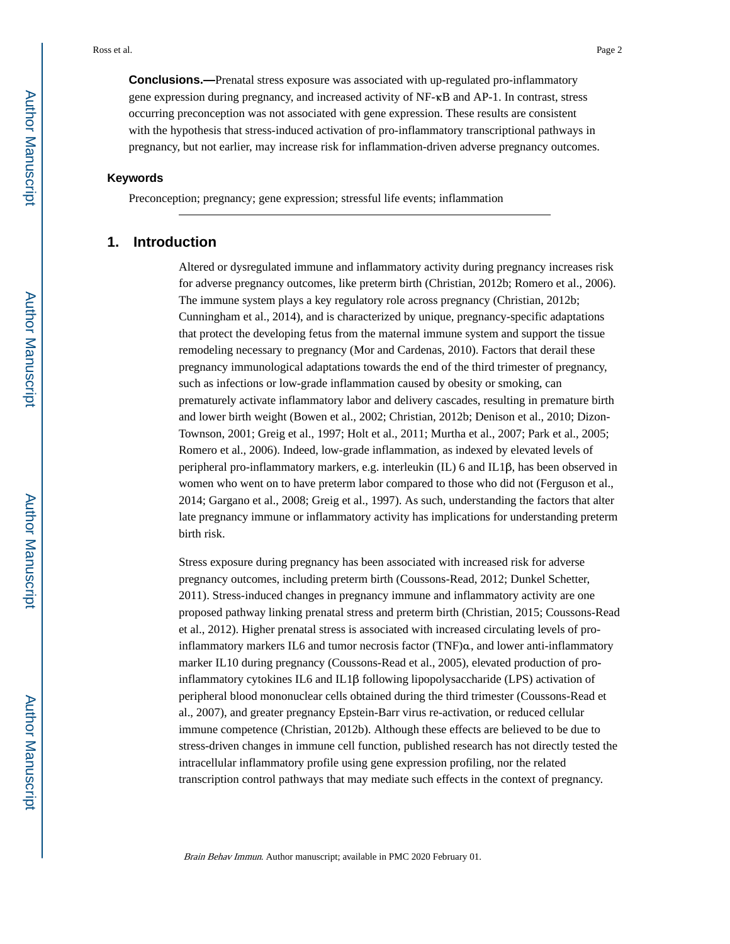**Conclusions.—**Prenatal stress exposure was associated with up-regulated pro-inflammatory gene expression during pregnancy, and increased activity of NF-κB and AP-1. In contrast, stress occurring preconception was not associated with gene expression. These results are consistent with the hypothesis that stress-induced activation of pro-inflammatory transcriptional pathways in pregnancy, but not earlier, may increase risk for inflammation-driven adverse pregnancy outcomes.

#### **Keywords**

Preconception; pregnancy; gene expression; stressful life events; inflammation

# **1. Introduction**

Altered or dysregulated immune and inflammatory activity during pregnancy increases risk for adverse pregnancy outcomes, like preterm birth (Christian, 2012b; Romero et al., 2006). The immune system plays a key regulatory role across pregnancy (Christian, 2012b; Cunningham et al., 2014), and is characterized by unique, pregnancy-specific adaptations that protect the developing fetus from the maternal immune system and support the tissue remodeling necessary to pregnancy (Mor and Cardenas, 2010). Factors that derail these pregnancy immunological adaptations towards the end of the third trimester of pregnancy, such as infections or low-grade inflammation caused by obesity or smoking, can prematurely activate inflammatory labor and delivery cascades, resulting in premature birth and lower birth weight (Bowen et al., 2002; Christian, 2012b; Denison et al., 2010; Dizon-Townson, 2001; Greig et al., 1997; Holt et al., 2011; Murtha et al., 2007; Park et al., 2005; Romero et al., 2006). Indeed, low-grade inflammation, as indexed by elevated levels of peripheral pro-inflammatory markers, e.g. interleukin (IL) 6 and IL1β, has been observed in women who went on to have preterm labor compared to those who did not (Ferguson et al., 2014; Gargano et al., 2008; Greig et al., 1997). As such, understanding the factors that alter late pregnancy immune or inflammatory activity has implications for understanding preterm birth risk.

Stress exposure during pregnancy has been associated with increased risk for adverse pregnancy outcomes, including preterm birth (Coussons-Read, 2012; Dunkel Schetter, 2011). Stress-induced changes in pregnancy immune and inflammatory activity are one proposed pathway linking prenatal stress and preterm birth (Christian, 2015; Coussons-Read et al., 2012). Higher prenatal stress is associated with increased circulating levels of proinflammatory markers IL6 and tumor necrosis factor (TNF)α, and lower anti-inflammatory marker IL10 during pregnancy (Coussons-Read et al., 2005), elevated production of proinflammatory cytokines IL6 and IL1β following lipopolysaccharide (LPS) activation of peripheral blood mononuclear cells obtained during the third trimester (Coussons-Read et al., 2007), and greater pregnancy Epstein-Barr virus re-activation, or reduced cellular immune competence (Christian, 2012b). Although these effects are believed to be due to stress-driven changes in immune cell function, published research has not directly tested the intracellular inflammatory profile using gene expression profiling, nor the related transcription control pathways that may mediate such effects in the context of pregnancy.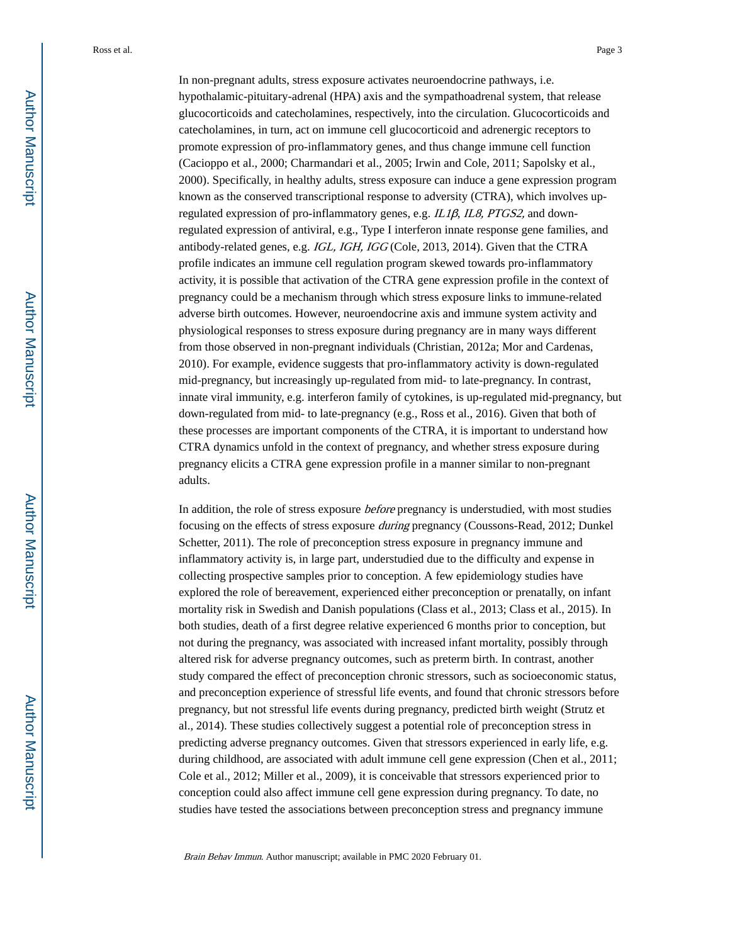In non-pregnant adults, stress exposure activates neuroendocrine pathways, i.e. hypothalamic-pituitary-adrenal (HPA) axis and the sympathoadrenal system, that release glucocorticoids and catecholamines, respectively, into the circulation. Glucocorticoids and catecholamines, in turn, act on immune cell glucocorticoid and adrenergic receptors to promote expression of pro-inflammatory genes, and thus change immune cell function (Cacioppo et al., 2000; Charmandari et al., 2005; Irwin and Cole, 2011; Sapolsky et al., 2000). Specifically, in healthy adults, stress exposure can induce a gene expression program known as the conserved transcriptional response to adversity (CTRA), which involves upregulated expression of pro-inflammatory genes, e.g.  $IL1\beta$ ,  $IL8$ , PTGS2, and downregulated expression of antiviral, e.g., Type I interferon innate response gene families, and antibody-related genes, e.g. IGL, IGH, IGG (Cole, 2013, 2014). Given that the CTRA profile indicates an immune cell regulation program skewed towards pro-inflammatory activity, it is possible that activation of the CTRA gene expression profile in the context of pregnancy could be a mechanism through which stress exposure links to immune-related adverse birth outcomes. However, neuroendocrine axis and immune system activity and physiological responses to stress exposure during pregnancy are in many ways different from those observed in non-pregnant individuals (Christian, 2012a; Mor and Cardenas, 2010). For example, evidence suggests that pro-inflammatory activity is down-regulated mid-pregnancy, but increasingly up-regulated from mid- to late-pregnancy. In contrast, innate viral immunity, e.g. interferon family of cytokines, is up-regulated mid-pregnancy, but down-regulated from mid- to late-pregnancy (e.g., Ross et al., 2016). Given that both of these processes are important components of the CTRA, it is important to understand how CTRA dynamics unfold in the context of pregnancy, and whether stress exposure during pregnancy elicits a CTRA gene expression profile in a manner similar to non-pregnant adults.

In addition, the role of stress exposure before pregnancy is understudied, with most studies focusing on the effects of stress exposure during pregnancy (Coussons-Read, 2012; Dunkel Schetter, 2011). The role of preconception stress exposure in pregnancy immune and inflammatory activity is, in large part, understudied due to the difficulty and expense in collecting prospective samples prior to conception. A few epidemiology studies have explored the role of bereavement, experienced either preconception or prenatally, on infant mortality risk in Swedish and Danish populations (Class et al., 2013; Class et al., 2015). In both studies, death of a first degree relative experienced 6 months prior to conception, but not during the pregnancy, was associated with increased infant mortality, possibly through altered risk for adverse pregnancy outcomes, such as preterm birth. In contrast, another study compared the effect of preconception chronic stressors, such as socioeconomic status, and preconception experience of stressful life events, and found that chronic stressors before pregnancy, but not stressful life events during pregnancy, predicted birth weight (Strutz et al., 2014). These studies collectively suggest a potential role of preconception stress in predicting adverse pregnancy outcomes. Given that stressors experienced in early life, e.g. during childhood, are associated with adult immune cell gene expression (Chen et al., 2011; Cole et al., 2012; Miller et al., 2009), it is conceivable that stressors experienced prior to conception could also affect immune cell gene expression during pregnancy. To date, no studies have tested the associations between preconception stress and pregnancy immune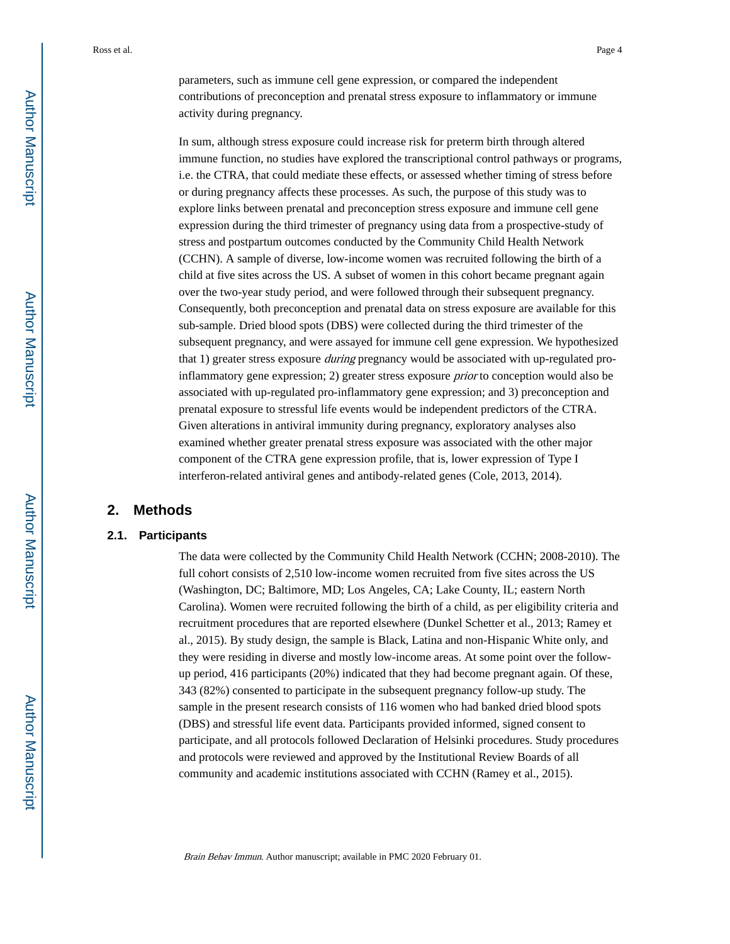parameters, such as immune cell gene expression, or compared the independent contributions of preconception and prenatal stress exposure to inflammatory or immune activity during pregnancy.

In sum, although stress exposure could increase risk for preterm birth through altered immune function, no studies have explored the transcriptional control pathways or programs, i.e. the CTRA, that could mediate these effects, or assessed whether timing of stress before or during pregnancy affects these processes. As such, the purpose of this study was to explore links between prenatal and preconception stress exposure and immune cell gene expression during the third trimester of pregnancy using data from a prospective-study of stress and postpartum outcomes conducted by the Community Child Health Network (CCHN). A sample of diverse, low-income women was recruited following the birth of a child at five sites across the US. A subset of women in this cohort became pregnant again over the two-year study period, and were followed through their subsequent pregnancy. Consequently, both preconception and prenatal data on stress exposure are available for this sub-sample. Dried blood spots (DBS) were collected during the third trimester of the subsequent pregnancy, and were assayed for immune cell gene expression. We hypothesized that 1) greater stress exposure *during* pregnancy would be associated with up-regulated proinflammatory gene expression; 2) greater stress exposure prior to conception would also be associated with up-regulated pro-inflammatory gene expression; and 3) preconception and prenatal exposure to stressful life events would be independent predictors of the CTRA. Given alterations in antiviral immunity during pregnancy, exploratory analyses also examined whether greater prenatal stress exposure was associated with the other major component of the CTRA gene expression profile, that is, lower expression of Type I interferon-related antiviral genes and antibody-related genes (Cole, 2013, 2014).

## **2. Methods**

#### **2.1. Participants**

The data were collected by the Community Child Health Network (CCHN; 2008-2010). The full cohort consists of 2,510 low-income women recruited from five sites across the US (Washington, DC; Baltimore, MD; Los Angeles, CA; Lake County, IL; eastern North Carolina). Women were recruited following the birth of a child, as per eligibility criteria and recruitment procedures that are reported elsewhere (Dunkel Schetter et al., 2013; Ramey et al., 2015). By study design, the sample is Black, Latina and non-Hispanic White only, and they were residing in diverse and mostly low-income areas. At some point over the followup period, 416 participants (20%) indicated that they had become pregnant again. Of these, 343 (82%) consented to participate in the subsequent pregnancy follow-up study. The sample in the present research consists of 116 women who had banked dried blood spots (DBS) and stressful life event data. Participants provided informed, signed consent to participate, and all protocols followed Declaration of Helsinki procedures. Study procedures and protocols were reviewed and approved by the Institutional Review Boards of all community and academic institutions associated with CCHN (Ramey et al., 2015).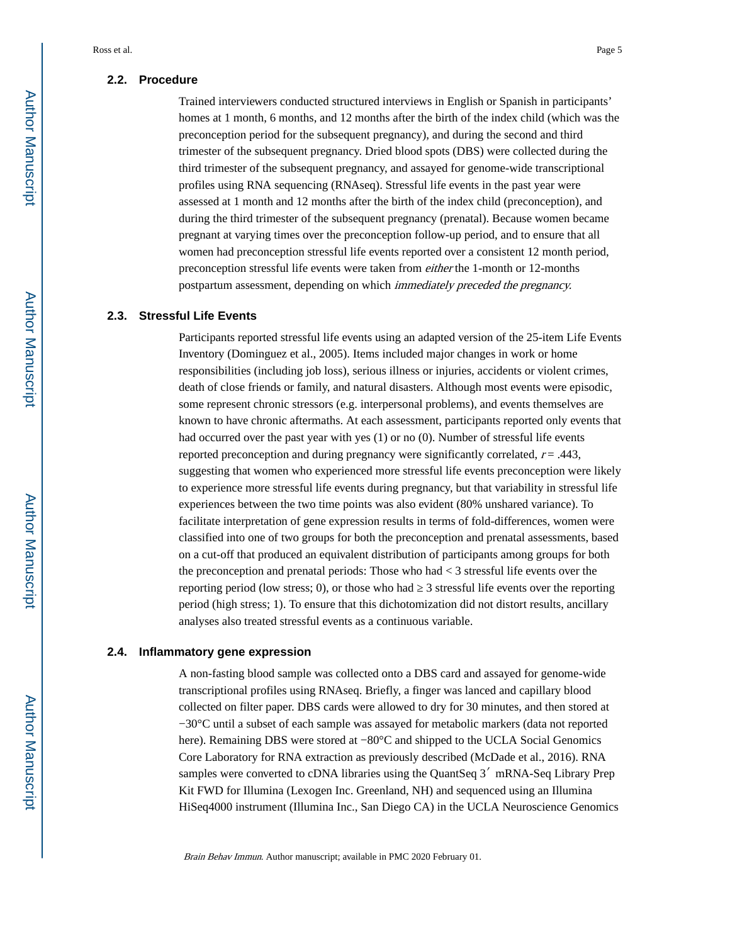#### **2.2. Procedure**

Trained interviewers conducted structured interviews in English or Spanish in participants' homes at 1 month, 6 months, and 12 months after the birth of the index child (which was the preconception period for the subsequent pregnancy), and during the second and third trimester of the subsequent pregnancy. Dried blood spots (DBS) were collected during the third trimester of the subsequent pregnancy, and assayed for genome-wide transcriptional profiles using RNA sequencing (RNAseq). Stressful life events in the past year were assessed at 1 month and 12 months after the birth of the index child (preconception), and during the third trimester of the subsequent pregnancy (prenatal). Because women became pregnant at varying times over the preconception follow-up period, and to ensure that all women had preconception stressful life events reported over a consistent 12 month period, preconception stressful life events were taken from either the 1-month or 12-months postpartum assessment, depending on which immediately preceded the pregnancy.

#### **2.3. Stressful Life Events**

Participants reported stressful life events using an adapted version of the 25-item Life Events Inventory (Dominguez et al., 2005). Items included major changes in work or home responsibilities (including job loss), serious illness or injuries, accidents or violent crimes, death of close friends or family, and natural disasters. Although most events were episodic, some represent chronic stressors (e.g. interpersonal problems), and events themselves are known to have chronic aftermaths. At each assessment, participants reported only events that had occurred over the past year with yes (1) or no (0). Number of stressful life events reported preconception and during pregnancy were significantly correlated,  $r = .443$ , suggesting that women who experienced more stressful life events preconception were likely to experience more stressful life events during pregnancy, but that variability in stressful life experiences between the two time points was also evident (80% unshared variance). To facilitate interpretation of gene expression results in terms of fold-differences, women were classified into one of two groups for both the preconception and prenatal assessments, based on a cut-off that produced an equivalent distribution of participants among groups for both the preconception and prenatal periods: Those who had < 3 stressful life events over the reporting period (low stress; 0), or those who had ≥ 3 stressful life events over the reporting period (high stress; 1). To ensure that this dichotomization did not distort results, ancillary analyses also treated stressful events as a continuous variable.

#### **2.4. Inflammatory gene expression**

A non-fasting blood sample was collected onto a DBS card and assayed for genome-wide transcriptional profiles using RNAseq. Briefly, a finger was lanced and capillary blood collected on filter paper. DBS cards were allowed to dry for 30 minutes, and then stored at −30°C until a subset of each sample was assayed for metabolic markers (data not reported here). Remaining DBS were stored at −80°C and shipped to the UCLA Social Genomics Core Laboratory for RNA extraction as previously described (McDade et al., 2016). RNA samples were converted to cDNA libraries using the QuantSeq 3′ mRNA-Seq Library Prep Kit FWD for Illumina (Lexogen Inc. Greenland, NH) and sequenced using an Illumina HiSeq4000 instrument (Illumina Inc., San Diego CA) in the UCLA Neuroscience Genomics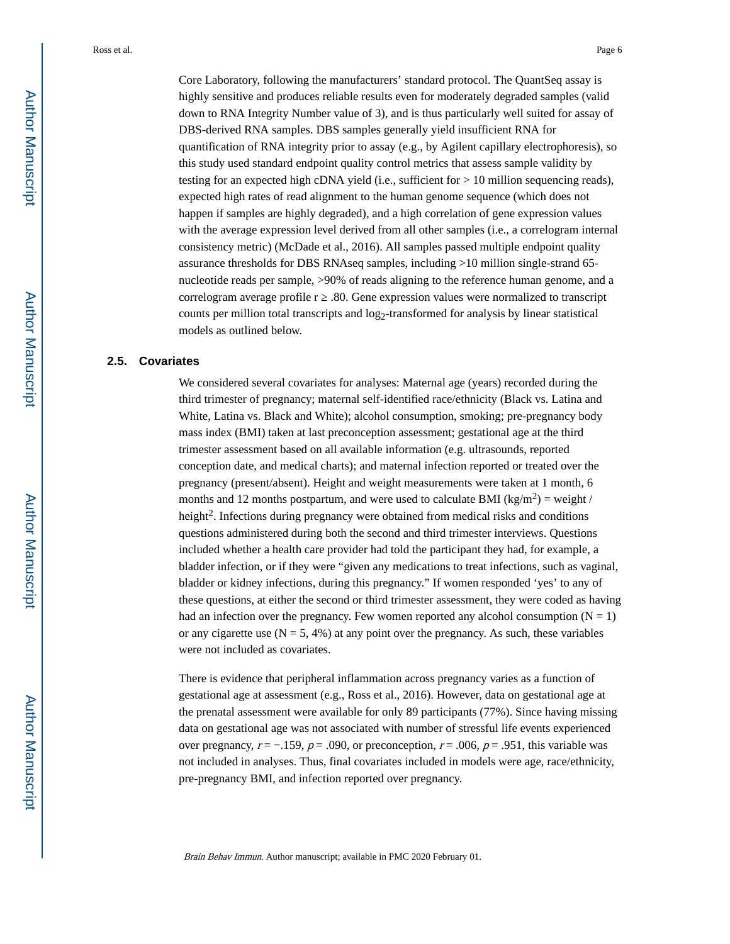Core Laboratory, following the manufacturers' standard protocol. The QuantSeq assay is highly sensitive and produces reliable results even for moderately degraded samples (valid down to RNA Integrity Number value of 3), and is thus particularly well suited for assay of DBS-derived RNA samples. DBS samples generally yield insufficient RNA for quantification of RNA integrity prior to assay (e.g., by Agilent capillary electrophoresis), so this study used standard endpoint quality control metrics that assess sample validity by testing for an expected high cDNA yield (i.e., sufficient for > 10 million sequencing reads), expected high rates of read alignment to the human genome sequence (which does not happen if samples are highly degraded), and a high correlation of gene expression values with the average expression level derived from all other samples (i.e., a correlogram internal consistency metric) (McDade et al., 2016). All samples passed multiple endpoint quality assurance thresholds for DBS RNAseq samples, including >10 million single-strand 65 nucleotide reads per sample, >90% of reads aligning to the reference human genome, and a correlogram average profile r  $\,$  .80. Gene expression values were normalized to transcript counts per million total transcripts and log<sub>2</sub>-transformed for analysis by linear statistical models as outlined below.

#### **2.5. Covariates**

We considered several covariates for analyses: Maternal age (years) recorded during the third trimester of pregnancy; maternal self-identified race/ethnicity (Black vs. Latina and White, Latina vs. Black and White); alcohol consumption, smoking; pre-pregnancy body mass index (BMI) taken at last preconception assessment; gestational age at the third trimester assessment based on all available information (e.g. ultrasounds, reported conception date, and medical charts); and maternal infection reported or treated over the pregnancy (present/absent). Height and weight measurements were taken at 1 month, 6 months and 12 months postpartum, and were used to calculate BMI ( $\text{kg/m}^2$ ) = weight / height<sup>2</sup>. Infections during pregnancy were obtained from medical risks and conditions questions administered during both the second and third trimester interviews. Questions included whether a health care provider had told the participant they had, for example, a bladder infection, or if they were "given any medications to treat infections, such as vaginal, bladder or kidney infections, during this pregnancy." If women responded 'yes' to any of these questions, at either the second or third trimester assessment, they were coded as having had an infection over the pregnancy. Few women reported any alcohol consumption  $(N = 1)$ or any cigarette use  $(N = 5, 4%)$  at any point over the pregnancy. As such, these variables were not included as covariates.

There is evidence that peripheral inflammation across pregnancy varies as a function of gestational age at assessment (e.g., Ross et al., 2016). However, data on gestational age at the prenatal assessment were available for only 89 participants (77%). Since having missing data on gestational age was not associated with number of stressful life events experienced over pregnancy,  $r = -159$ ,  $p = .090$ , or preconception,  $r = .006$ ,  $p = .951$ , this variable was not included in analyses. Thus, final covariates included in models were age, race/ethnicity, pre-pregnancy BMI, and infection reported over pregnancy.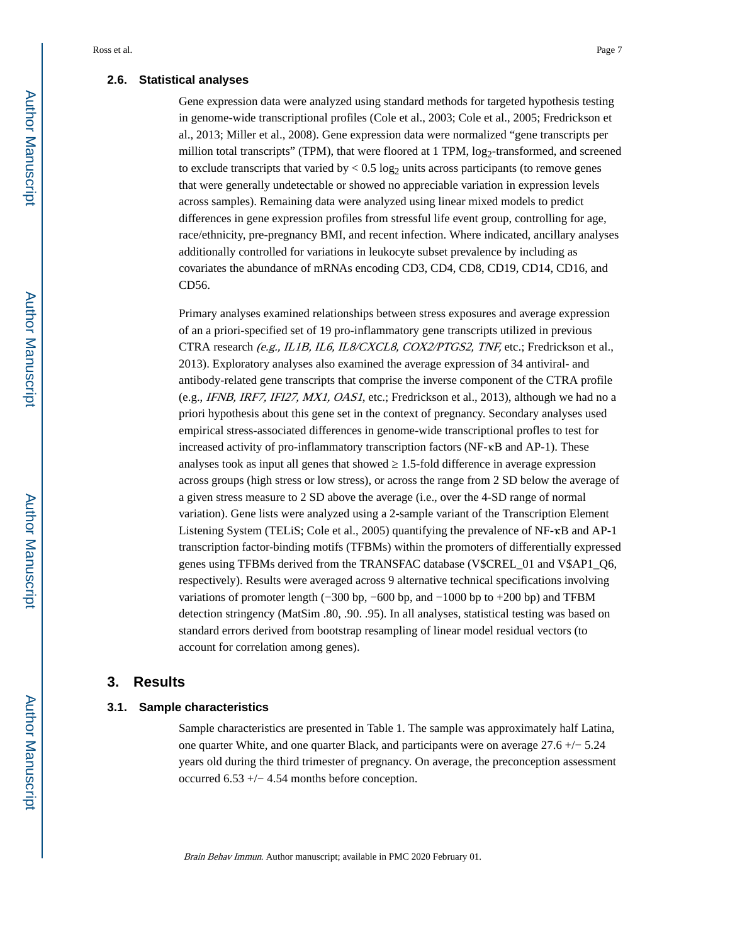#### **2.6. Statistical analyses**

Gene expression data were analyzed using standard methods for targeted hypothesis testing in genome-wide transcriptional profiles (Cole et al., 2003; Cole et al., 2005; Fredrickson et al., 2013; Miller et al., 2008). Gene expression data were normalized "gene transcripts per million total transcripts" (TPM), that were floored at 1 TPM, log<sub>2</sub>-transformed, and screened to exclude transcripts that varied by  $< 0.5 \log_2$  units across participants (to remove genes that were generally undetectable or showed no appreciable variation in expression levels across samples). Remaining data were analyzed using linear mixed models to predict differences in gene expression profiles from stressful life event group, controlling for age, race/ethnicity, pre-pregnancy BMI, and recent infection. Where indicated, ancillary analyses additionally controlled for variations in leukocyte subset prevalence by including as covariates the abundance of mRNAs encoding CD3, CD4, CD8, CD19, CD14, CD16, and CD56.

Primary analyses examined relationships between stress exposures and average expression of an a priori-specified set of 19 pro-inflammatory gene transcripts utilized in previous CTRA research (e.g., IL1B, IL6, IL8/CXCL8, COX2/PTGS2, TNF, etc.; Fredrickson et al., 2013). Exploratory analyses also examined the average expression of 34 antiviral- and antibody-related gene transcripts that comprise the inverse component of the CTRA profile (e.g., IFNB, IRF7, IFI27, MX1, OAS1, etc.; Fredrickson et al., 2013), although we had no a priori hypothesis about this gene set in the context of pregnancy. Secondary analyses used empirical stress-associated differences in genome-wide transcriptional profles to test for increased activity of pro-inflammatory transcription factors (NF-κB and AP-1). These analyses took as input all genes that showed 1.5-fold difference in average expression across groups (high stress or low stress), or across the range from 2 SD below the average of a given stress measure to 2 SD above the average (i.e., over the 4-SD range of normal variation). Gene lists were analyzed using a 2-sample variant of the Transcription Element Listening System (TELiS; Cole et al., 2005) quantifying the prevalence of NF-κB and AP-1 transcription factor-binding motifs (TFBMs) within the promoters of differentially expressed genes using TFBMs derived from the TRANSFAC database (V\$CREL\_01 and V\$AP1\_Q6, respectively). Results were averaged across 9 alternative technical specifications involving variations of promoter length (−300 bp, −600 bp, and −1000 bp to +200 bp) and TFBM detection stringency (MatSim .80, .90. .95). In all analyses, statistical testing was based on standard errors derived from bootstrap resampling of linear model residual vectors (to account for correlation among genes).

### **3. Results**

#### **3.1. Sample characteristics**

Sample characteristics are presented in Table 1. The sample was approximately half Latina, one quarter White, and one quarter Black, and participants were on average 27.6 +/− 5.24 years old during the third trimester of pregnancy. On average, the preconception assessment occurred 6.53 +/− 4.54 months before conception.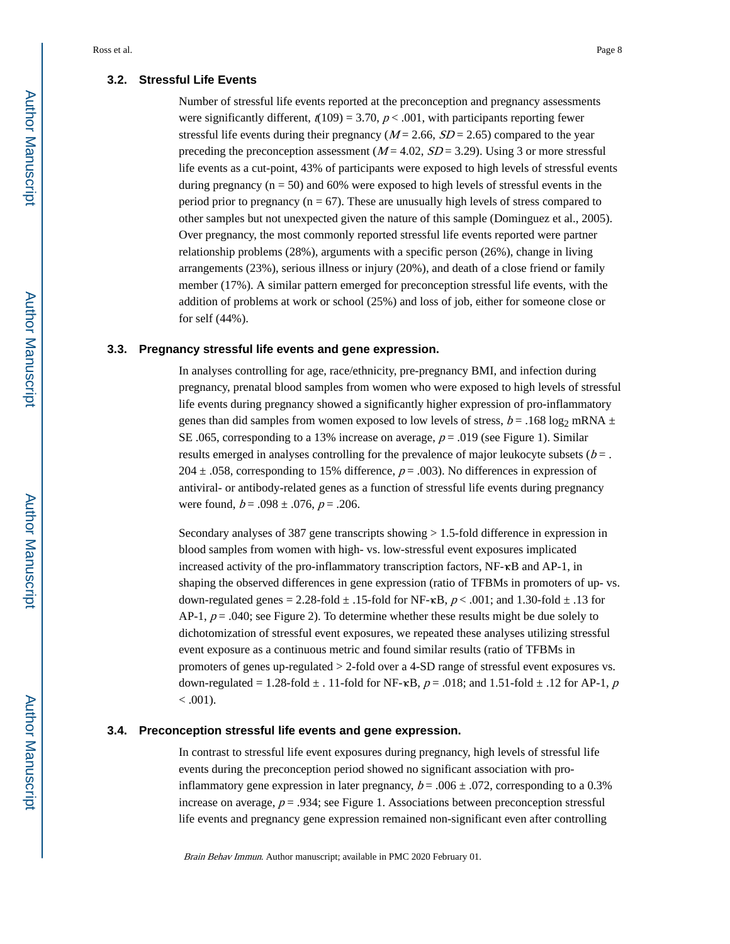#### **3.2. Stressful Life Events**

Number of stressful life events reported at the preconception and pregnancy assessments were significantly different,  $t(109) = 3.70$ ,  $p < .001$ , with participants reporting fewer stressful life events during their pregnancy ( $M = 2.66$ ,  $SD = 2.65$ ) compared to the year preceding the preconception assessment ( $M = 4.02$ ,  $SD = 3.29$ ). Using 3 or more stressful life events as a cut-point, 43% of participants were exposed to high levels of stressful events during pregnancy ( $n = 50$ ) and 60% were exposed to high levels of stressful events in the period prior to pregnancy  $(n = 67)$ . These are unusually high levels of stress compared to other samples but not unexpected given the nature of this sample (Dominguez et al., 2005). Over pregnancy, the most commonly reported stressful life events reported were partner relationship problems (28%), arguments with a specific person (26%), change in living arrangements (23%), serious illness or injury (20%), and death of a close friend or family member (17%). A similar pattern emerged for preconception stressful life events, with the addition of problems at work or school (25%) and loss of job, either for someone close or for self (44%).

#### **3.3. Pregnancy stressful life events and gene expression.**

In analyses controlling for age, race/ethnicity, pre-pregnancy BMI, and infection during pregnancy, prenatal blood samples from women who were exposed to high levels of stressful life events during pregnancy showed a significantly higher expression of pro-inflammatory genes than did samples from women exposed to low levels of stress,  $b = .168 \log_2 mRNA \pm$ SE .065, corresponding to a 13% increase on average,  $p = .019$  (see Figure 1). Similar results emerged in analyses controlling for the prevalence of major leukocyte subsets ( $b =$ . 204  $\pm$  .058, corresponding to 15% difference,  $p = .003$ ). No differences in expression of antiviral- or antibody-related genes as a function of stressful life events during pregnancy were found,  $b = .098 \pm .076$ ,  $p = .206$ .

Secondary analyses of 387 gene transcripts showing > 1.5-fold difference in expression in blood samples from women with high- vs. low-stressful event exposures implicated increased activity of the pro-inflammatory transcription factors, NF-κB and AP-1, in shaping the observed differences in gene expression (ratio of TFBMs in promoters of up- vs. down-regulated genes =  $2.28$ -fold  $\pm$  .15-fold for NF- $\kappa$ B,  $p < .001$ ; and 1.30-fold  $\pm$  .13 for AP-1,  $p = .040$ ; see Figure 2). To determine whether these results might be due solely to dichotomization of stressful event exposures, we repeated these analyses utilizing stressful event exposure as a continuous metric and found similar results (ratio of TFBMs in promoters of genes up-regulated > 2-fold over a 4-SD range of stressful event exposures vs. down-regulated = 1.28-fold  $\pm$  . 11-fold for NF- $\kappa$ B,  $p = .018$ ; and 1.51-fold  $\pm$  .12 for AP-1, p  $< .001$ ).

#### **3.4. Preconception stressful life events and gene expression.**

In contrast to stressful life event exposures during pregnancy, high levels of stressful life events during the preconception period showed no significant association with proinflammatory gene expression in later pregnancy,  $b = .006 \pm .072$ , corresponding to a 0.3% increase on average,  $p = .934$ ; see Figure 1. Associations between preconception stressful life events and pregnancy gene expression remained non-significant even after controlling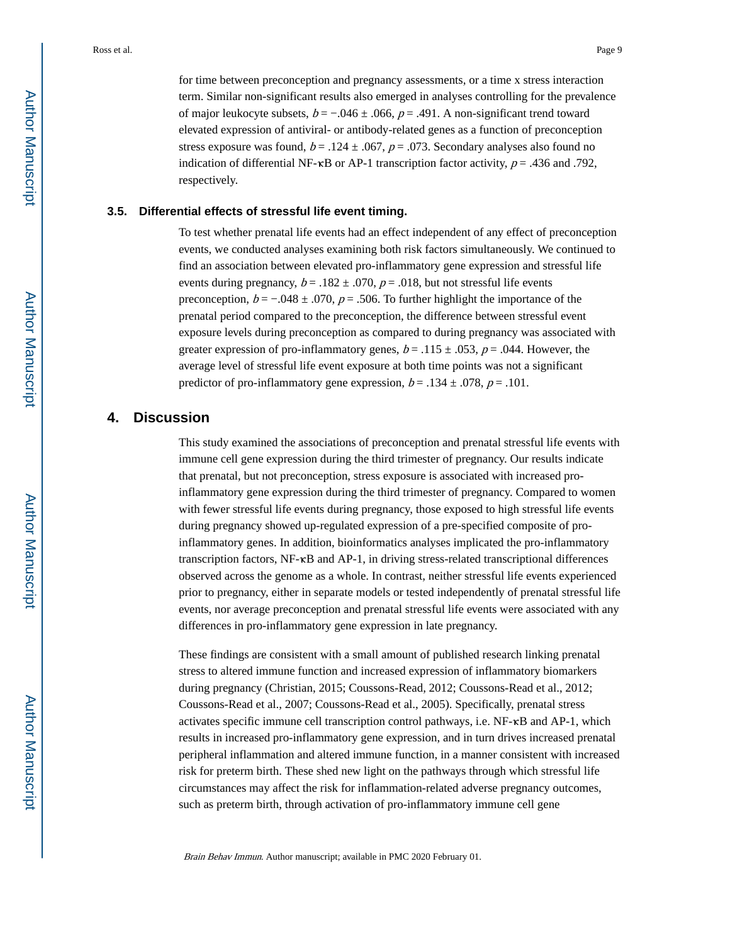for time between preconception and pregnancy assessments, or a time x stress interaction term. Similar non-significant results also emerged in analyses controlling for the prevalence of major leukocyte subsets,  $b = -.046 \pm .066$ ,  $p = .491$ . A non-significant trend toward elevated expression of antiviral- or antibody-related genes as a function of preconception stress exposure was found,  $b = .124 \pm .067$ ,  $p = .073$ . Secondary analyses also found no indication of differential NF- $\kappa$ B or AP-1 transcription factor activity,  $p = .436$  and .792, respectively.

#### **3.5. Differential effects of stressful life event timing.**

To test whether prenatal life events had an effect independent of any effect of preconception events, we conducted analyses examining both risk factors simultaneously. We continued to find an association between elevated pro-inflammatory gene expression and stressful life events during pregnancy,  $b = .182 \pm .070$ ,  $p = .018$ , but not stressful life events preconception,  $b = -.048 \pm .070$ ,  $p = .506$ . To further highlight the importance of the prenatal period compared to the preconception, the difference between stressful event exposure levels during preconception as compared to during pregnancy was associated with greater expression of pro-inflammatory genes,  $b = .115 \pm .053$ ,  $p = .044$ . However, the average level of stressful life event exposure at both time points was not a significant predictor of pro-inflammatory gene expression,  $b = .134 \pm .078$ ,  $p = .101$ .

# **4. Discussion**

This study examined the associations of preconception and prenatal stressful life events with immune cell gene expression during the third trimester of pregnancy. Our results indicate that prenatal, but not preconception, stress exposure is associated with increased proinflammatory gene expression during the third trimester of pregnancy. Compared to women with fewer stressful life events during pregnancy, those exposed to high stressful life events during pregnancy showed up-regulated expression of a pre-specified composite of proinflammatory genes. In addition, bioinformatics analyses implicated the pro-inflammatory transcription factors, NF-κB and AP-1, in driving stress-related transcriptional differences observed across the genome as a whole. In contrast, neither stressful life events experienced prior to pregnancy, either in separate models or tested independently of prenatal stressful life events, nor average preconception and prenatal stressful life events were associated with any differences in pro-inflammatory gene expression in late pregnancy.

These findings are consistent with a small amount of published research linking prenatal stress to altered immune function and increased expression of inflammatory biomarkers during pregnancy (Christian, 2015; Coussons-Read, 2012; Coussons-Read et al., 2012; Coussons-Read et al., 2007; Coussons-Read et al., 2005). Specifically, prenatal stress activates specific immune cell transcription control pathways, i.e. NF-κB and AP-1, which results in increased pro-inflammatory gene expression, and in turn drives increased prenatal peripheral inflammation and altered immune function, in a manner consistent with increased risk for preterm birth. These shed new light on the pathways through which stressful life circumstances may affect the risk for inflammation-related adverse pregnancy outcomes, such as preterm birth, through activation of pro-inflammatory immune cell gene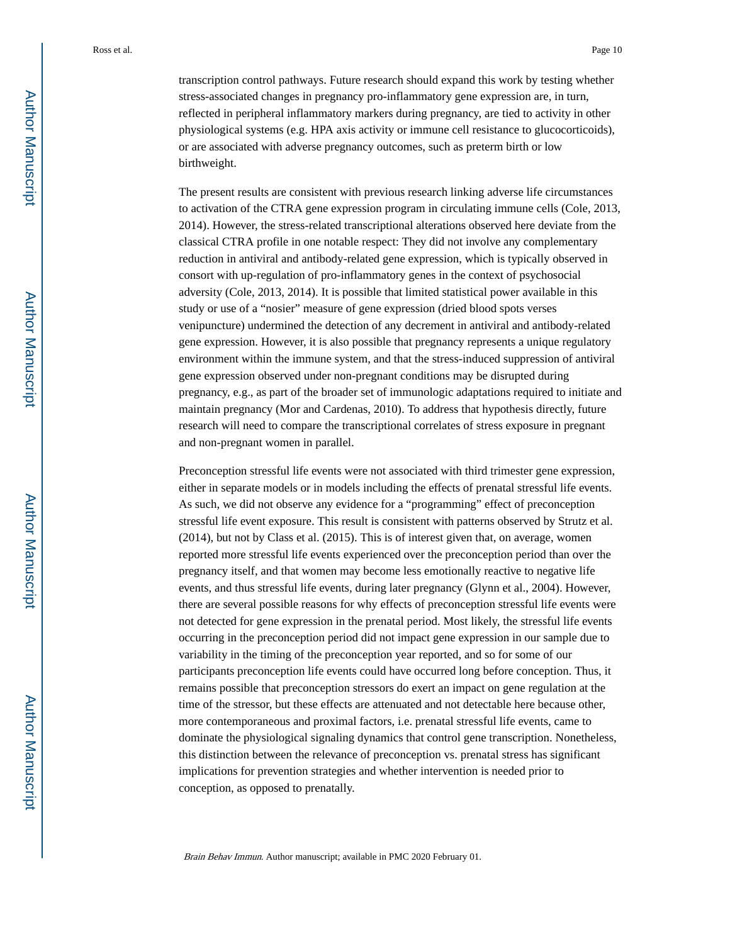transcription control pathways. Future research should expand this work by testing whether stress-associated changes in pregnancy pro-inflammatory gene expression are, in turn, reflected in peripheral inflammatory markers during pregnancy, are tied to activity in other physiological systems (e.g. HPA axis activity or immune cell resistance to glucocorticoids), or are associated with adverse pregnancy outcomes, such as preterm birth or low birthweight.

The present results are consistent with previous research linking adverse life circumstances to activation of the CTRA gene expression program in circulating immune cells (Cole, 2013, 2014). However, the stress-related transcriptional alterations observed here deviate from the classical CTRA profile in one notable respect: They did not involve any complementary reduction in antiviral and antibody-related gene expression, which is typically observed in consort with up-regulation of pro-inflammatory genes in the context of psychosocial adversity (Cole, 2013, 2014). It is possible that limited statistical power available in this study or use of a "nosier" measure of gene expression (dried blood spots verses venipuncture) undermined the detection of any decrement in antiviral and antibody-related gene expression. However, it is also possible that pregnancy represents a unique regulatory environment within the immune system, and that the stress-induced suppression of antiviral gene expression observed under non-pregnant conditions may be disrupted during pregnancy, e.g., as part of the broader set of immunologic adaptations required to initiate and maintain pregnancy (Mor and Cardenas, 2010). To address that hypothesis directly, future research will need to compare the transcriptional correlates of stress exposure in pregnant and non-pregnant women in parallel.

Preconception stressful life events were not associated with third trimester gene expression, either in separate models or in models including the effects of prenatal stressful life events. As such, we did not observe any evidence for a "programming" effect of preconception stressful life event exposure. This result is consistent with patterns observed by Strutz et al. (2014), but not by Class et al. (2015). This is of interest given that, on average, women reported more stressful life events experienced over the preconception period than over the pregnancy itself, and that women may become less emotionally reactive to negative life events, and thus stressful life events, during later pregnancy (Glynn et al., 2004). However, there are several possible reasons for why effects of preconception stressful life events were not detected for gene expression in the prenatal period. Most likely, the stressful life events occurring in the preconception period did not impact gene expression in our sample due to variability in the timing of the preconception year reported, and so for some of our participants preconception life events could have occurred long before conception. Thus, it remains possible that preconception stressors do exert an impact on gene regulation at the time of the stressor, but these effects are attenuated and not detectable here because other, more contemporaneous and proximal factors, i.e. prenatal stressful life events, came to dominate the physiological signaling dynamics that control gene transcription. Nonetheless, this distinction between the relevance of preconception vs. prenatal stress has significant implications for prevention strategies and whether intervention is needed prior to conception, as opposed to prenatally.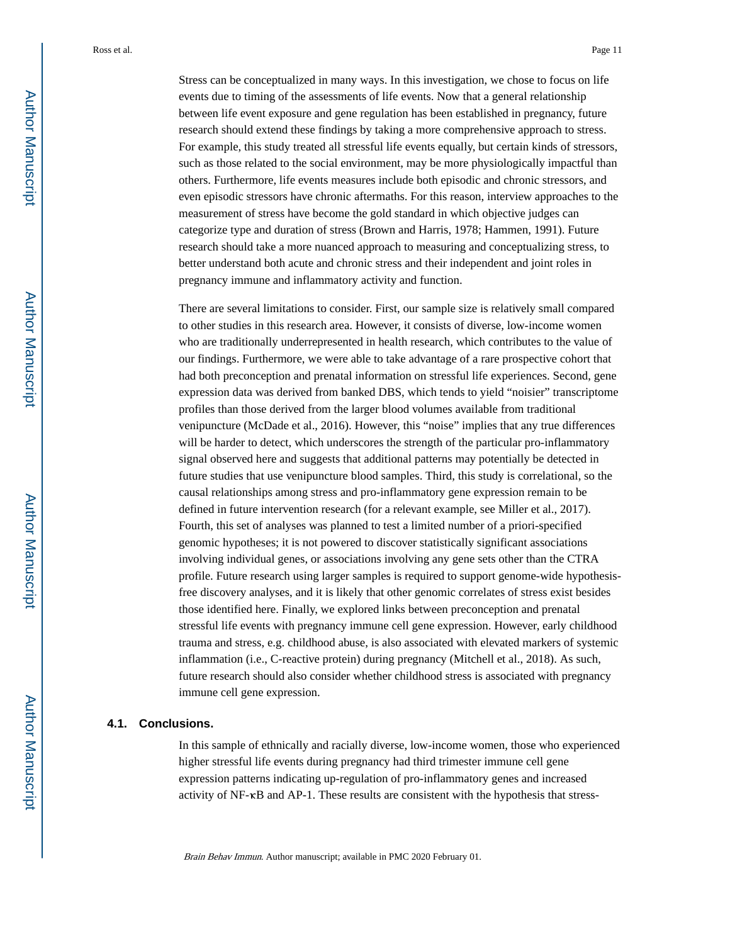Stress can be conceptualized in many ways. In this investigation, we chose to focus on life events due to timing of the assessments of life events. Now that a general relationship between life event exposure and gene regulation has been established in pregnancy, future research should extend these findings by taking a more comprehensive approach to stress. For example, this study treated all stressful life events equally, but certain kinds of stressors, such as those related to the social environment, may be more physiologically impactful than others. Furthermore, life events measures include both episodic and chronic stressors, and even episodic stressors have chronic aftermaths. For this reason, interview approaches to the measurement of stress have become the gold standard in which objective judges can categorize type and duration of stress (Brown and Harris, 1978; Hammen, 1991). Future research should take a more nuanced approach to measuring and conceptualizing stress, to better understand both acute and chronic stress and their independent and joint roles in pregnancy immune and inflammatory activity and function.

There are several limitations to consider. First, our sample size is relatively small compared to other studies in this research area. However, it consists of diverse, low-income women who are traditionally underrepresented in health research, which contributes to the value of our findings. Furthermore, we were able to take advantage of a rare prospective cohort that had both preconception and prenatal information on stressful life experiences. Second, gene expression data was derived from banked DBS, which tends to yield "noisier" transcriptome profiles than those derived from the larger blood volumes available from traditional venipuncture (McDade et al., 2016). However, this "noise" implies that any true differences will be harder to detect, which underscores the strength of the particular pro-inflammatory signal observed here and suggests that additional patterns may potentially be detected in future studies that use venipuncture blood samples. Third, this study is correlational, so the causal relationships among stress and pro-inflammatory gene expression remain to be defined in future intervention research (for a relevant example, see Miller et al., 2017). Fourth, this set of analyses was planned to test a limited number of a priori-specified genomic hypotheses; it is not powered to discover statistically significant associations involving individual genes, or associations involving any gene sets other than the CTRA profile. Future research using larger samples is required to support genome-wide hypothesisfree discovery analyses, and it is likely that other genomic correlates of stress exist besides those identified here. Finally, we explored links between preconception and prenatal stressful life events with pregnancy immune cell gene expression. However, early childhood trauma and stress, e.g. childhood abuse, is also associated with elevated markers of systemic inflammation (i.e., C-reactive protein) during pregnancy (Mitchell et al., 2018). As such, future research should also consider whether childhood stress is associated with pregnancy immune cell gene expression.

#### **4.1. Conclusions.**

In this sample of ethnically and racially diverse, low-income women, those who experienced higher stressful life events during pregnancy had third trimester immune cell gene expression patterns indicating up-regulation of pro-inflammatory genes and increased activity of NF-κB and AP-1. These results are consistent with the hypothesis that stress-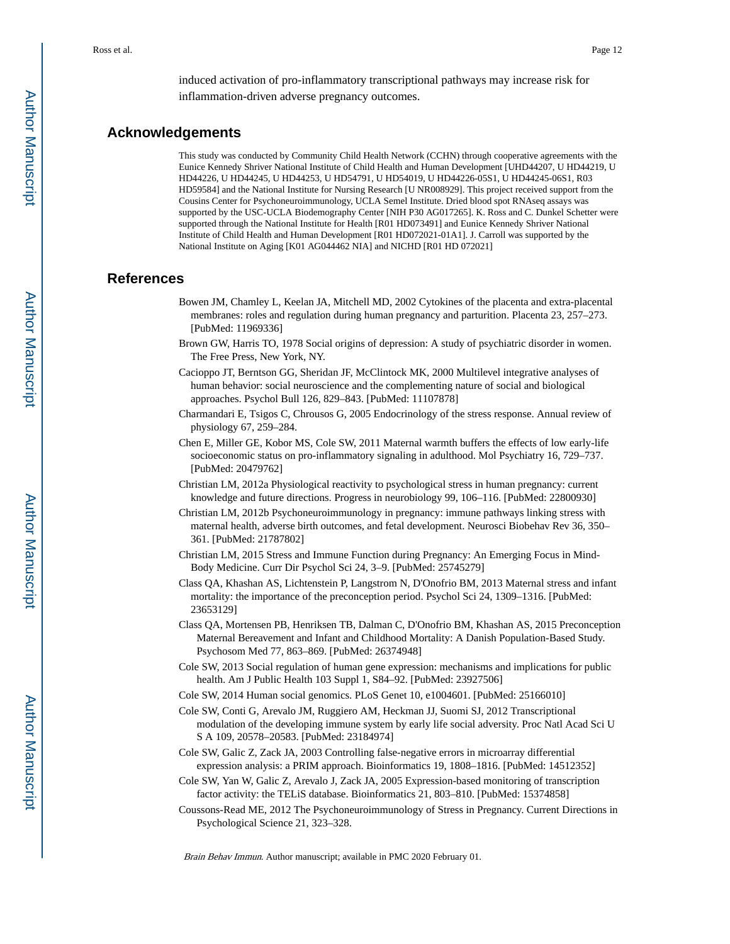induced activation of pro-inflammatory transcriptional pathways may increase risk for

inflammation-driven adverse pregnancy outcomes.

#### **Acknowledgements**

This study was conducted by Community Child Health Network (CCHN) through cooperative agreements with the Eunice Kennedy Shriver National Institute of Child Health and Human Development [UHD44207, U HD44219, U HD44226, U HD44245, U HD44253, U HD54791, U HD54019, U HD44226-05S1, U HD44245-06S1, R03 HD59584] and the National Institute for Nursing Research [U NR008929]. This project received support from the Cousins Center for Psychoneuroimmunology, UCLA Semel Institute. Dried blood spot RNAseq assays was supported by the USC-UCLA Biodemography Center [NIH P30 AG017265]. K. Ross and C. Dunkel Schetter were supported through the National Institute for Health [R01 HD073491] and Eunice Kennedy Shriver National Institute of Child Health and Human Development [R01 HD072021-01A1]. J. Carroll was supported by the National Institute on Aging [K01 AG044462 NIA] and NICHD [R01 HD 072021]

#### **References**

- Bowen JM, Chamley L, Keelan JA, Mitchell MD, 2002 Cytokines of the placenta and extra-placental membranes: roles and regulation during human pregnancy and parturition. Placenta 23, 257–273. [PubMed: 11969336]
- Brown GW, Harris TO, 1978 Social origins of depression: A study of psychiatric disorder in women. The Free Press, New York, NY.
- Cacioppo JT, Berntson GG, Sheridan JF, McClintock MK, 2000 Multilevel integrative analyses of human behavior: social neuroscience and the complementing nature of social and biological approaches. Psychol Bull 126, 829–843. [PubMed: 11107878]
- Charmandari E, Tsigos C, Chrousos G, 2005 Endocrinology of the stress response. Annual review of physiology 67, 259–284.
- Chen E, Miller GE, Kobor MS, Cole SW, 2011 Maternal warmth buffers the effects of low early-life socioeconomic status on pro-inflammatory signaling in adulthood. Mol Psychiatry 16, 729–737. [PubMed: 20479762]
- Christian LM, 2012a Physiological reactivity to psychological stress in human pregnancy: current knowledge and future directions. Progress in neurobiology 99, 106–116. [PubMed: 22800930]
- Christian LM, 2012b Psychoneuroimmunology in pregnancy: immune pathways linking stress with maternal health, adverse birth outcomes, and fetal development. Neurosci Biobehav Rev 36, 350– 361. [PubMed: 21787802]
- Christian LM, 2015 Stress and Immune Function during Pregnancy: An Emerging Focus in Mind-Body Medicine. Curr Dir Psychol Sci 24, 3–9. [PubMed: 25745279]
- Class QA, Khashan AS, Lichtenstein P, Langstrom N, D'Onofrio BM, 2013 Maternal stress and infant mortality: the importance of the preconception period. Psychol Sci 24, 1309–1316. [PubMed: 23653129]
- Class QA, Mortensen PB, Henriksen TB, Dalman C, D'Onofrio BM, Khashan AS, 2015 Preconception Maternal Bereavement and Infant and Childhood Mortality: A Danish Population-Based Study. Psychosom Med 77, 863–869. [PubMed: 26374948]
- Cole SW, 2013 Social regulation of human gene expression: mechanisms and implications for public health. Am J Public Health 103 Suppl 1, S84–92. [PubMed: 23927506]
- Cole SW, 2014 Human social genomics. PLoS Genet 10, e1004601. [PubMed: 25166010]
- Cole SW, Conti G, Arevalo JM, Ruggiero AM, Heckman JJ, Suomi SJ, 2012 Transcriptional modulation of the developing immune system by early life social adversity. Proc Natl Acad Sci U S A 109, 20578–20583. [PubMed: 23184974]
- Cole SW, Galic Z, Zack JA, 2003 Controlling false-negative errors in microarray differential expression analysis: a PRIM approach. Bioinformatics 19, 1808–1816. [PubMed: 14512352]
- Cole SW, Yan W, Galic Z, Arevalo J, Zack JA, 2005 Expression-based monitoring of transcription factor activity: the TELiS database. Bioinformatics 21, 803–810. [PubMed: 15374858]
- Coussons-Read ME, 2012 The Psychoneuroimmunology of Stress in Pregnancy. Current Directions in Psychological Science 21, 323–328.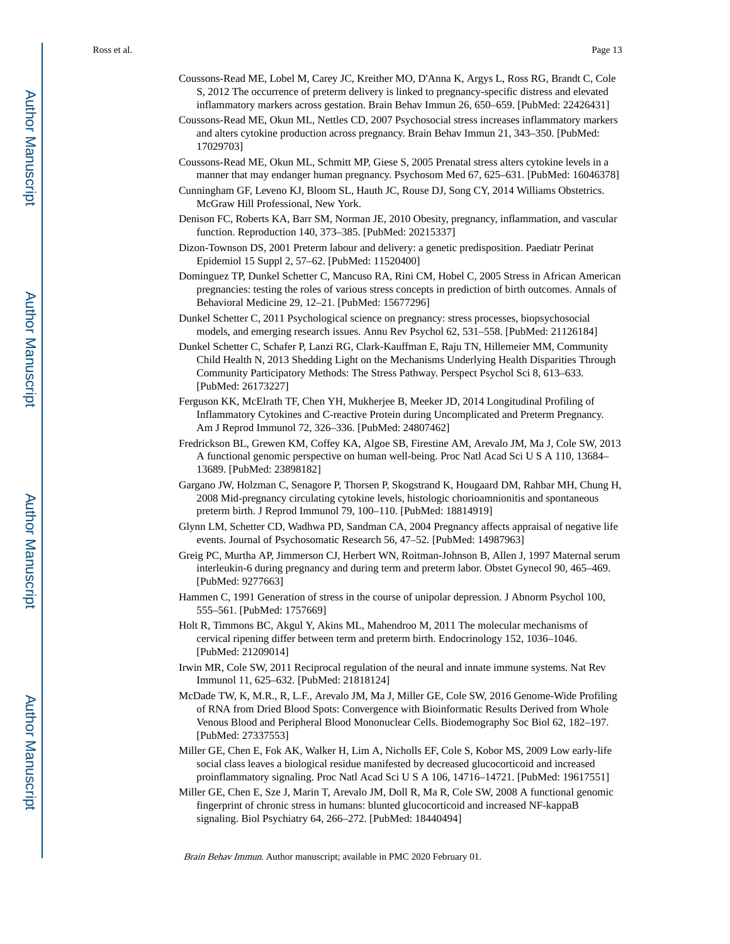- Coussons-Read ME, Lobel M, Carey JC, Kreither MO, D'Anna K, Argys L, Ross RG, Brandt C, Cole S, 2012 The occurrence of preterm delivery is linked to pregnancy-specific distress and elevated inflammatory markers across gestation. Brain Behav Immun 26, 650–659. [PubMed: 22426431]
- Coussons-Read ME, Okun ML, Nettles CD, 2007 Psychosocial stress increases inflammatory markers and alters cytokine production across pregnancy. Brain Behav Immun 21, 343–350. [PubMed: 17029703]
- Coussons-Read ME, Okun ML, Schmitt MP, Giese S, 2005 Prenatal stress alters cytokine levels in a manner that may endanger human pregnancy. Psychosom Med 67, 625–631. [PubMed: 16046378]
- Cunningham GF, Leveno KJ, Bloom SL, Hauth JC, Rouse DJ, Song CY, 2014 Williams Obstetrics. McGraw Hill Professional, New York.
- Denison FC, Roberts KA, Barr SM, Norman JE, 2010 Obesity, pregnancy, inflammation, and vascular function. Reproduction 140, 373–385. [PubMed: 20215337]
- Dizon-Townson DS, 2001 Preterm labour and delivery: a genetic predisposition. Paediatr Perinat Epidemiol 15 Suppl 2, 57–62. [PubMed: 11520400]
- Dominguez TP, Dunkel Schetter C, Mancuso RA, Rini CM, Hobel C, 2005 Stress in African American pregnancies: testing the roles of various stress concepts in prediction of birth outcomes. Annals of Behavioral Medicine 29, 12–21. [PubMed: 15677296]
- Dunkel Schetter C, 2011 Psychological science on pregnancy: stress processes, biopsychosocial models, and emerging research issues. Annu Rev Psychol 62, 531–558. [PubMed: 21126184]
- Dunkel Schetter C, Schafer P, Lanzi RG, Clark-Kauffman E, Raju TN, Hillemeier MM, Community Child Health N, 2013 Shedding Light on the Mechanisms Underlying Health Disparities Through Community Participatory Methods: The Stress Pathway. Perspect Psychol Sci 8, 613–633. [PubMed: 26173227]
- Ferguson KK, McElrath TF, Chen YH, Mukherjee B, Meeker JD, 2014 Longitudinal Profiling of Inflammatory Cytokines and C-reactive Protein during Uncomplicated and Preterm Pregnancy. Am J Reprod Immunol 72, 326–336. [PubMed: 24807462]
- Fredrickson BL, Grewen KM, Coffey KA, Algoe SB, Firestine AM, Arevalo JM, Ma J, Cole SW, 2013 A functional genomic perspective on human well-being. Proc Natl Acad Sci U S A 110, 13684– 13689. [PubMed: 23898182]
- Gargano JW, Holzman C, Senagore P, Thorsen P, Skogstrand K, Hougaard DM, Rahbar MH, Chung H, 2008 Mid-pregnancy circulating cytokine levels, histologic chorioamnionitis and spontaneous preterm birth. J Reprod Immunol 79, 100–110. [PubMed: 18814919]
- Glynn LM, Schetter CD, Wadhwa PD, Sandman CA, 2004 Pregnancy affects appraisal of negative life events. Journal of Psychosomatic Research 56, 47–52. [PubMed: 14987963]
- Greig PC, Murtha AP, Jimmerson CJ, Herbert WN, Roitman-Johnson B, Allen J, 1997 Maternal serum interleukin-6 during pregnancy and during term and preterm labor. Obstet Gynecol 90, 465–469. [PubMed: 9277663]
- Hammen C, 1991 Generation of stress in the course of unipolar depression. J Abnorm Psychol 100, 555–561. [PubMed: 1757669]
- Holt R, Timmons BC, Akgul Y, Akins ML, Mahendroo M, 2011 The molecular mechanisms of cervical ripening differ between term and preterm birth. Endocrinology 152, 1036–1046. [PubMed: 21209014]
- Irwin MR, Cole SW, 2011 Reciprocal regulation of the neural and innate immune systems. Nat Rev Immunol 11, 625–632. [PubMed: 21818124]
- McDade TW, K, M.R., R, L.F., Arevalo JM, Ma J, Miller GE, Cole SW, 2016 Genome-Wide Profiling of RNA from Dried Blood Spots: Convergence with Bioinformatic Results Derived from Whole Venous Blood and Peripheral Blood Mononuclear Cells. Biodemography Soc Biol 62, 182–197. [PubMed: 27337553]
- Miller GE, Chen E, Fok AK, Walker H, Lim A, Nicholls EF, Cole S, Kobor MS, 2009 Low early-life social class leaves a biological residue manifested by decreased glucocorticoid and increased proinflammatory signaling. Proc Natl Acad Sci U S A 106, 14716–14721. [PubMed: 19617551]
- Miller GE, Chen E, Sze J, Marin T, Arevalo JM, Doll R, Ma R, Cole SW, 2008 A functional genomic fingerprint of chronic stress in humans: blunted glucocorticoid and increased NF-kappaB signaling. Biol Psychiatry 64, 266–272. [PubMed: 18440494]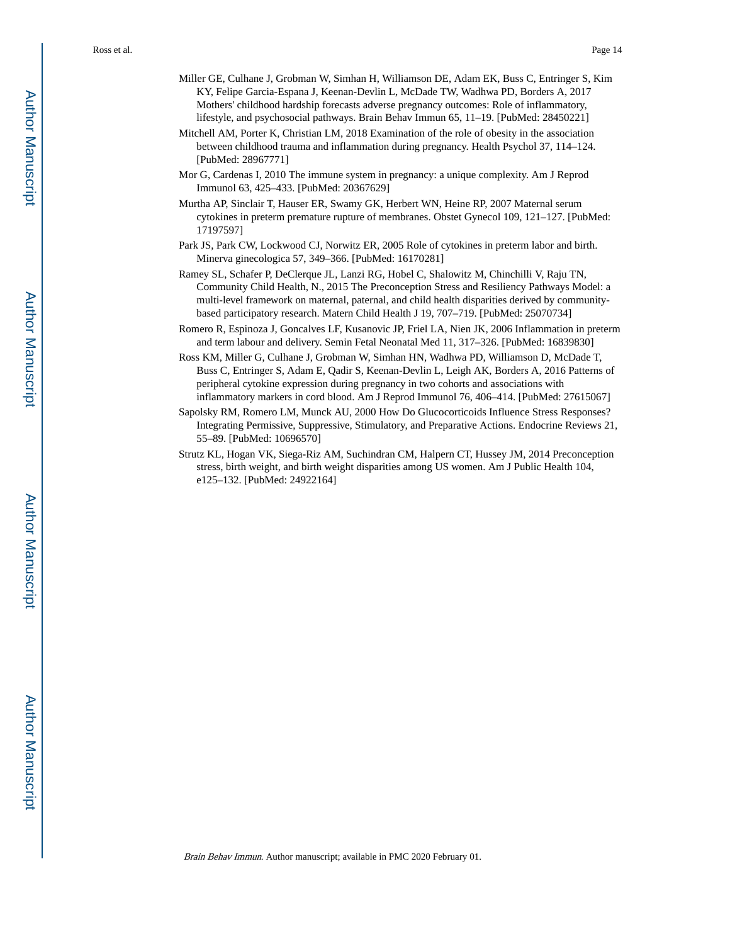- Miller GE, Culhane J, Grobman W, Simhan H, Williamson DE, Adam EK, Buss C, Entringer S, Kim KY, Felipe Garcia-Espana J, Keenan-Devlin L, McDade TW, Wadhwa PD, Borders A, 2017 Mothers' childhood hardship forecasts adverse pregnancy outcomes: Role of inflammatory, lifestyle, and psychosocial pathways. Brain Behav Immun 65, 11–19. [PubMed: 28450221]
- Mitchell AM, Porter K, Christian LM, 2018 Examination of the role of obesity in the association between childhood trauma and inflammation during pregnancy. Health Psychol 37, 114–124. [PubMed: 28967771]
- Mor G, Cardenas I, 2010 The immune system in pregnancy: a unique complexity. Am J Reprod Immunol 63, 425–433. [PubMed: 20367629]
- Murtha AP, Sinclair T, Hauser ER, Swamy GK, Herbert WN, Heine RP, 2007 Maternal serum cytokines in preterm premature rupture of membranes. Obstet Gynecol 109, 121–127. [PubMed: 17197597]
- Park JS, Park CW, Lockwood CJ, Norwitz ER, 2005 Role of cytokines in preterm labor and birth. Minerva ginecologica 57, 349–366. [PubMed: 16170281]
- Ramey SL, Schafer P, DeClerque JL, Lanzi RG, Hobel C, Shalowitz M, Chinchilli V, Raju TN, Community Child Health, N., 2015 The Preconception Stress and Resiliency Pathways Model: a multi-level framework on maternal, paternal, and child health disparities derived by communitybased participatory research. Matern Child Health J 19, 707–719. [PubMed: 25070734]
- Romero R, Espinoza J, Goncalves LF, Kusanovic JP, Friel LA, Nien JK, 2006 Inflammation in preterm and term labour and delivery. Semin Fetal Neonatal Med 11, 317–326. [PubMed: 16839830]
- Ross KM, Miller G, Culhane J, Grobman W, Simhan HN, Wadhwa PD, Williamson D, McDade T, Buss C, Entringer S, Adam E, Qadir S, Keenan-Devlin L, Leigh AK, Borders A, 2016 Patterns of peripheral cytokine expression during pregnancy in two cohorts and associations with inflammatory markers in cord blood. Am J Reprod Immunol 76, 406–414. [PubMed: 27615067]
- Sapolsky RM, Romero LM, Munck AU, 2000 How Do Glucocorticoids Influence Stress Responses? Integrating Permissive, Suppressive, Stimulatory, and Preparative Actions. Endocrine Reviews 21, 55–89. [PubMed: 10696570]
- Strutz KL, Hogan VK, Siega-Riz AM, Suchindran CM, Halpern CT, Hussey JM, 2014 Preconception stress, birth weight, and birth weight disparities among US women. Am J Public Health 104, e125–132. [PubMed: 24922164]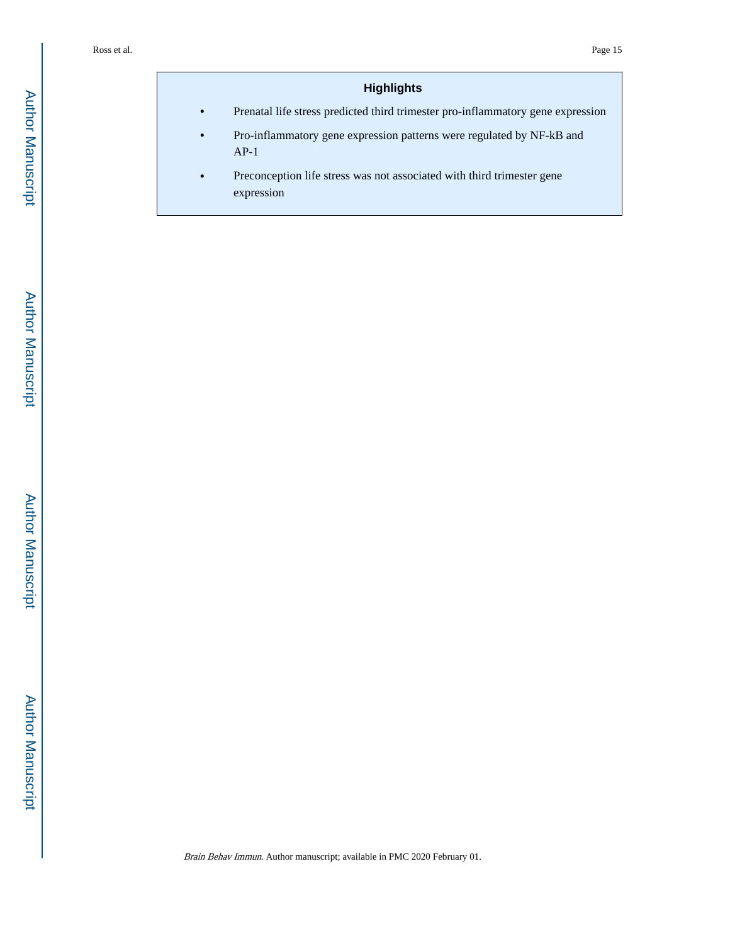# **Highlights**

**•** Prenatal life stress predicted third trimester pro-inflammatory gene expression

- **•** Pro-inflammatory gene expression patterns were regulated by NF-kB and AP-1
- **•** Preconception life stress was not associated with third trimester gene expression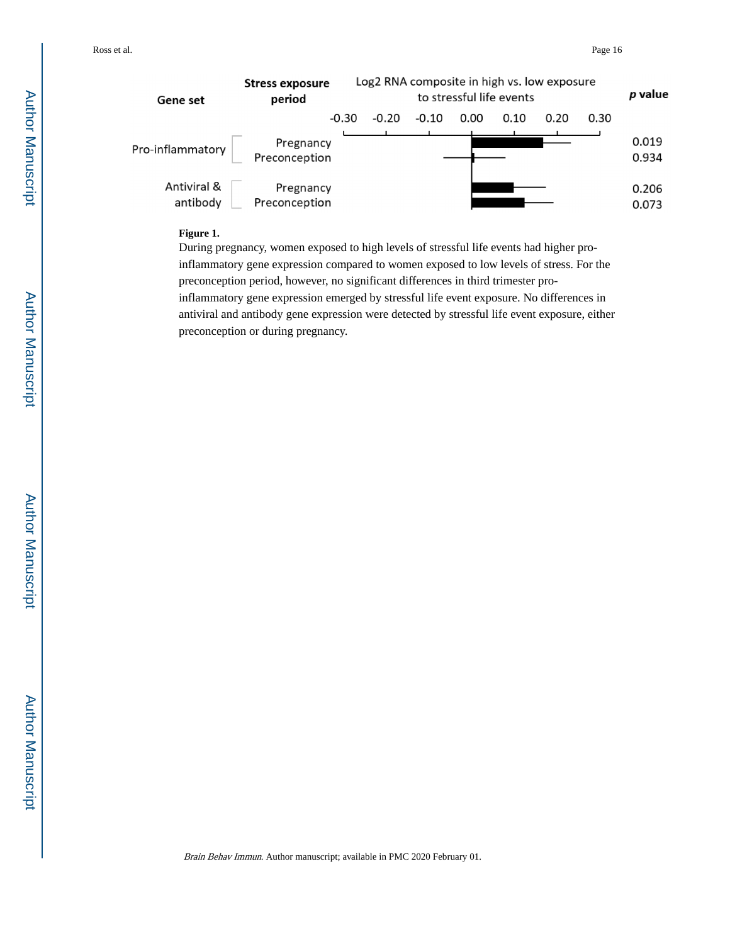

#### **Figure 1.**

During pregnancy, women exposed to high levels of stressful life events had higher proinflammatory gene expression compared to women exposed to low levels of stress. For the preconception period, however, no significant differences in third trimester proinflammatory gene expression emerged by stressful life event exposure. No differences in antiviral and antibody gene expression were detected by stressful life event exposure, either preconception or during pregnancy.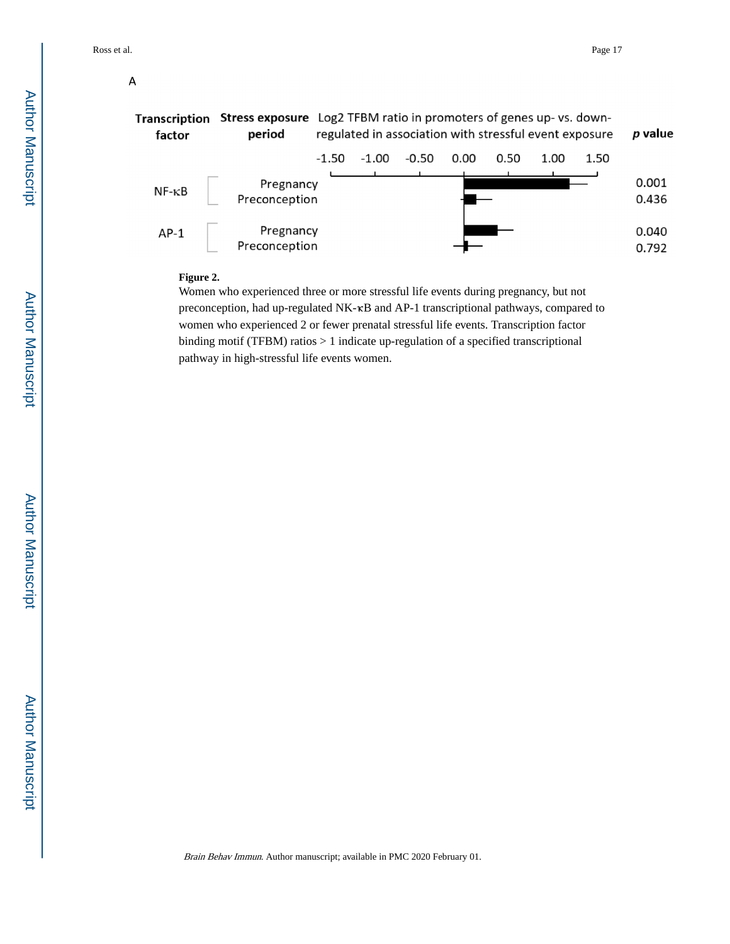$\overline{A}$ 



#### **Figure 2.**

Women who experienced three or more stressful life events during pregnancy, but not preconception, had up-regulated NK-κB and AP-1 transcriptional pathways, compared to women who experienced 2 or fewer prenatal stressful life events. Transcription factor binding motif (TFBM) ratios > 1 indicate up-regulation of a specified transcriptional pathway in high-stressful life events women.